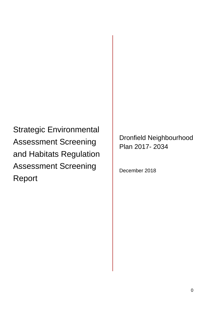Strategic Environmental Assessment Screening and Habitats Regulation Assessment Screening Report

Dronfield Neighbourhood Plan 2017- 2034

December 2018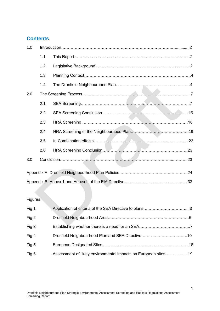# **Contents**

| 1.0 |     |  |  |
|-----|-----|--|--|
|     | 1.1 |  |  |
|     | 1.2 |  |  |
|     | 1.3 |  |  |
|     | 1.4 |  |  |
| 2.0 |     |  |  |
|     | 2.1 |  |  |
|     | 2.2 |  |  |
|     | 2.3 |  |  |
|     | 2.4 |  |  |
|     | 2.5 |  |  |
|     | 2.6 |  |  |
| 3.0 |     |  |  |
|     |     |  |  |
|     |     |  |  |
|     |     |  |  |

# **Figures**

| Fig 1 |                                                                |  |
|-------|----------------------------------------------------------------|--|
| Fig 2 |                                                                |  |
| Fig 3 |                                                                |  |
| Fig 4 |                                                                |  |
| Fig 5 |                                                                |  |
| Fig 6 | Assessment of likely environmental impacts on European sites19 |  |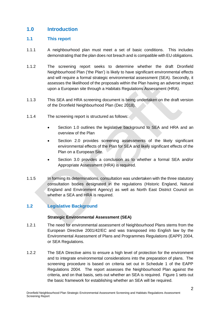# **1.0 Introduction**

## **1.1 This report**

- 1.1.1 A neighbourhood plan must meet a set of basic conditions. This includes demonstrating that the plan does not breach and is compatible with EU obligations.
- 1.1.2 The screening report seeks to determine whether the draft Dronfield Neighbourhood Plan ('the Plan') is likely to have significant environmental effects and will require a formal strategic environmental assessment (SEA). Secondly, it assesses the likelihood of the proposals within the Plan having an adverse impact upon a European site through a Habitats Regulations Assessment (HRA).
- 1.1.3 This SEA and HRA screening document is being undertaken on the draft version of the Dronfield Neighbourhood Plan (Dec 2018).
- 1.1.4 The screening report is structured as follows:
	- Section 1.0 outlines the legislative background to SEA and HRA and an overview of the Plan
	- Section 2.0 provides screening assessments of the likely significant environmental effects of the Plan for SEA and likely significant effects of the Plan on a European Site.
	- Section 3.0 provides a conclusion as to whether a formal SEA and/or Appropriate Assessment (HRA) is required.
- 1.1.5 In forming its determinations, consultation was undertaken with the three statutory consultation bodies designated in the regulations (Historic England, Natural England and Environment Agency) as well as North East District Council on whether a SEA and HRA is required.

## **1.2 Legislative Background**

## **Strategic Environmental Assessment (SEA)**

- 1.2.1 The need for environmental assessment of Neighbourhood Plans stems from the European Directive 2001/42/EC and was transposed into English law by the Environmental Assessment of Plans and Programmes Regulations (EAPP) 2004, or SEA Regulations.
- 1.2.2 The SEA Directive aims to ensure a high level of protection for the environment and to integrate environmental considerations into the preparation of plans. The screening procedure is based on criteria set out in Schedule 1 of the EAPP Regulations 2004. The report assesses the Neighbourhood Plan against the criteria, and on that basis, sets out whether an SEA is required. Figure 1 sets out the basic framework for establishing whether an SEA will be required.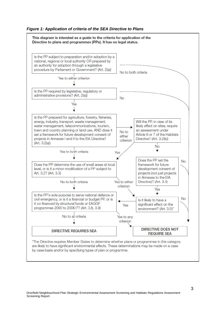#### *Figure 1: Application of criteria of the SEA Directive to Plans*

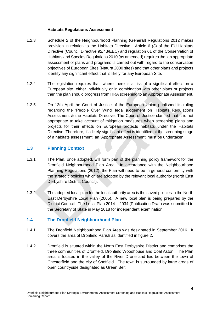#### **Habitats Regulations Assessment**

- 1.2.3 Schedule 2 of the Neighbourhood Planning (General) Regulations 2012 makes provision in relation to the Habitats Directive. Article 6 (3) of the EU Habitats Directive (Council Directive 92/43/EEC) and regulation 61 of the Conservation of Habitats and Species Regulations 2010 (as amended) requires that an appropriate assessment of plans and programs is carried out with regard to the conservation objectives of European Sites (Natura 2000 sites) and that other plans and projects identify any significant effect that is likely for any European Site.
- 1.2.4 The legislation requires that, where there is a risk of a significant effect on a European site, either individually or in combination with other plans or projects then the plan should progress from HRA screening to an Appropriate Assessment.
- 1.2.5 On 13th April the Court of Justice of the European Union published its ruling regarding the 'People Over Wind' legal judgement on Habitats Regulations Assessment & the Habitats Directive. The Court of Justice clarified that it is not appropriate to take account of mitigation measures when screening plans and projects for their effects on European protects habitats under the Habitats Directive. Therefore, if a likely significant effect is identified at the screening stage of a habitats assessment, an 'Appropriate Assessment' must be undertaken.

## **1.3 Planning Context**

- 1.3.1 The Plan, once adopted, will form part of the planning policy framework for the Dronfield Neighbourhood Plan Area. In accordance with the Neighbourhood Planning Regulations (2012), the Plan will need to be in general conformity with the strategic policies which are adopted by the relevant local authority (North East Derbyshire District Council).
- 1.3.2 The adopted local plan for the local authority area is the saved policies in the North East Derbyshire Local Plan (2005). A new local plan is being prepared by the District Council. The Local Plan 2014 – 2034 (Publication Draft) was submitted to the Secretary of State in May 2018 for independent examination.

## **1.4 The Dronfield Neighbourhood Plan**

- 1.4.1 The Dronfield Neighbourhood Plan Area was designated in September 2016. It covers the area of Dronfield Parish as identified in figure 2.
- 1.4.2 Dronfield is situated within the North East Derbyshire District and comprises the three communities of Dronfield, Dronfield Woodhouse and Coal Aston. The Plan area is located in the valley of the River Drone and lies between the town of Chesterfield and the city of Sheffield. The town is surrounded by large areas of open countryside designated as Green Belt.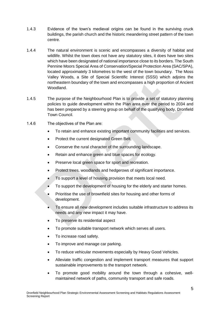- 1.4.3 Evidence of the town's medieval origins can be found in the surviving cruck buildings, the parish church and the historic meandering street pattern of the town centre.
- 1.4.4 The natural environment is scenic and encompasses a diversity of habitat and wildlife. Whilst the town does not have any statutory sites, it does have two sites which have been designated of national importance close to its borders. The South Pennine Moors Special Area of Conservation/Special Protection Area (SAC/SPA), located approximately 3 kilometres to the west of the town boundary. The Moss Valley Woods, a Site of Special Scientific Interest (SSSI) which adjoins the northeastern boundary of the town and encompasses a high proportion of Ancient Woodland.
- 1.4.5 The purpose of the Neighbourhood Plan is to provide a set of statutory planning policies to guide development within the Plan area over the period to 2034 and has been prepared by a steering group on behalf of the qualifying body, Dronfield Town Council.
- 1.4.6 The objectives of the Plan are:
	- To retain and enhance existing important community facilities and services.
	- Protect the current designated Green Belt.
	- Conserve the rural character of the surrounding landscape.
	- Retain and enhance green and blue spaces for ecology.
	- Preserve local green space for sport and recreation.
	- Protect trees, woodlands and hedgerows of significant importance.
	- To support a level of housing provision that meets local need.
	- To support the development of housing for the elderly and starter homes.
	- Prioritise the use of brownfield sites for housing and other forms of development.
	- To ensure all new development includes suitable infrastructure to address its needs and any new impact it may have.
	- To preserve its residential aspect
	- To promote suitable transport network which serves all users.
	- To increase road safety.
	- To improve and manage car parking.
	- To reduce vehicular movements especially by Heavy Good Vehicles.
	- Alleviate traffic congestion and implement transport measures that support sustainable improvements to the transport network.
	- To promote good mobility around the town through a cohesive, wellmaintained network of paths, community transport and safe roads.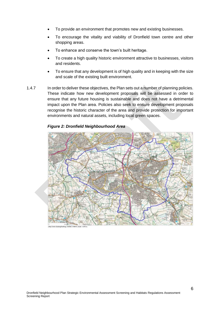- To provide an environment that promotes new and existing businesses.
- To encourage the vitality and viability of Dronfield town centre and other shopping areas.
- To enhance and conserve the town's built heritage.
- To create a high quality historic environment attractive to businesses, visitors and residents.
- To ensure that any development is of high quality and in keeping with the size and scale of the existing built environment.
- 1.4.7 In order to deliver these objectives, the Plan sets out a number of planning policies. These indicate how new development proposals will be assessed in order to ensure that any future housing is sustainable and does not have a detrimental impact upon the Plan area. Policies also seek to ensure development proposals recognise the historic character of the area and provide protection for important environments and natural assets, including local green spaces.



#### *Figure 2: Dronfield Neighbourhood Area*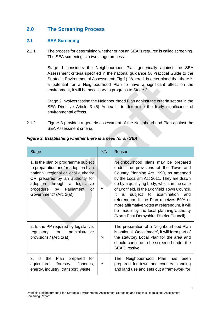# **2.0 The Screening Process**

## **2.1 SEA Screening**

2.1.1 The process for determining whether or not an SEA is required is called screening. The SEA screening is a two stage process:

> Stage 1 considers the Neighbourhood Plan generically against the SEA Assessment criteria specified in the national guidance (A Practical Guide to the Strategic Environmental Assessment; Fig 1). Where it is determined that there is a potential for a Neighbourhood Plan to have a significant effect on the environment, it will be necessary to progress to Stage 2.

> Stage 2 involves testing the Neighbourhood Plan against the criteria set out in the SEA Directive Article 3 (5) Annex II, to determine the likely significance of environmental effects.

2.1.2 Figure 3 provides a generic assessment of the Neighbourhood Plan against the SEA Assessment criteria.

| <b>Stage</b>                                                                                                                                                                                                                                         | Y/N | Reason                                                                                                                                                                                                                                                                                                                                                                                                                                                                                             |
|------------------------------------------------------------------------------------------------------------------------------------------------------------------------------------------------------------------------------------------------------|-----|----------------------------------------------------------------------------------------------------------------------------------------------------------------------------------------------------------------------------------------------------------------------------------------------------------------------------------------------------------------------------------------------------------------------------------------------------------------------------------------------------|
| 1. Is the plan or programme subject<br>to preparation and/or adoption by a<br>national, regional or local authority<br>OR prepared by an authority for<br>adoption through a legislative<br>procedure by Parliament<br>or<br>Government? (Art. 2(a)) | Y   | Neighbourhood plans may be prepared<br>under the provisions of the Town and<br>Country Planning Act 1990, as amended<br>by the Localism Act 2011. They are drawn<br>up by a qualifying body, which, in the case<br>of Dronfield, is the Dronfield Town Council.<br>subject to examination<br>lt.<br>is<br>and<br>referendum. If the Plan receives 50% or<br>more affirmative votes at referendum, it will<br>be 'made' by the local planning authority<br>(North East Derbyshire District Council) |
| 2. Is the PP required by legislative,<br>regulatory or administrative<br>provisions? (Art. 2(a))                                                                                                                                                     | N   | The preparation of a Neighbourhood Plan<br>is optional. Once 'made', it will form part of<br>the statutory Local Plan for the area and<br>should continue to be screened under the<br><b>SEA Directive.</b>                                                                                                                                                                                                                                                                                        |
| 3.<br>the<br>Plan prepared<br>Is<br>for<br>agriculture, forestry, fisheries,<br>energy, industry, transport, waste                                                                                                                                   | Y   | Neighbourhood Plan<br>The<br>has<br>been<br>prepared for town and country planning<br>and land use and sets out a framework for                                                                                                                                                                                                                                                                                                                                                                    |

## *Figure 3: Establishing whether there is a need for an SEA*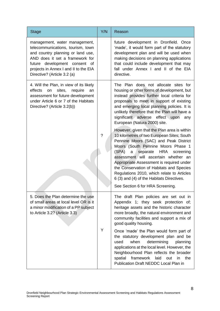| <b>Stage</b>                                                                                                                                                                                                                                        | Y/N | Reason                                                                                                                                                                                                                                                                                                                                                                                                                                                                                                                                                                                                                                                                                                                  |
|-----------------------------------------------------------------------------------------------------------------------------------------------------------------------------------------------------------------------------------------------------|-----|-------------------------------------------------------------------------------------------------------------------------------------------------------------------------------------------------------------------------------------------------------------------------------------------------------------------------------------------------------------------------------------------------------------------------------------------------------------------------------------------------------------------------------------------------------------------------------------------------------------------------------------------------------------------------------------------------------------------------|
| management, water management,<br>telecommunications, tourism, town<br>and country planning or land use,<br>AND does it set a framework for<br>future development consent of<br>projects in Annex I and II to the EIA<br>Directive? (Article 3.2 (a) |     | future development in Dronfield. Once<br>'made', it would form part of the statutory<br>development plan and will be used when<br>making decisions on planning applications<br>that could include development that may<br>fall under Annex I and II of the EIA<br>directive.                                                                                                                                                                                                                                                                                                                                                                                                                                            |
| 4. Will the Plan, in view of its likely<br>effects<br>sites,<br>on<br>require<br>an<br>assessment for future development<br>under Article 6 or 7 of the Habitats<br>Directive? (Article 3.2(b))                                                     | ?   | The Plan does not allocate sites for<br>housing or other forms of development, but<br>instead provides further local criteria for<br>proposals to meet in support of existing<br>and emerging local planning policies. It is<br>unlikely therefore that the Plan will have a<br>significant adverse effect upon<br>any<br>European (Natura 2000) site.<br>However, given that the Plan area is within<br>10 kilometres of two European Sites; South<br>Pennine Moors (SAC) and Peak District<br>Moors (South Pennine Moors Phase 1<br><b>HRA</b><br>(SPA)<br>a<br>separate<br>screening<br>assessment will ascertain whether an<br>Appropriate Assessment is required under<br>the Conservation of Habitats and Species |
|                                                                                                                                                                                                                                                     |     | Regulations 2010, which relate to Articles<br>6 (3) and (4) of the Habitats Directives.<br>See Section 6 for HRA Screening.                                                                                                                                                                                                                                                                                                                                                                                                                                                                                                                                                                                             |
| 5. Does the Plan determine the use<br>of small areas at local level OR is it<br>a minor modification of a PP subject<br>to Article 3.2? (Article 3.3)                                                                                               | Y   | The draft Plan policies are set out in<br>Appendix 1; they seek protection of;<br>heritage assets and the historic character<br>more broadly, the natural environment and<br>community facilities and support a mix of<br>good quality housing.<br>Once 'made' the Plan would form part of<br>the statutory development plan and be<br>when<br>determining<br>used<br>planning<br>applications at the local level. However, the<br>Neighbourhood Plan reflects the broader<br>spatial<br>framework<br>laid<br>out<br>in<br>the<br>Publication Draft NEDDC Local Plan in                                                                                                                                                 |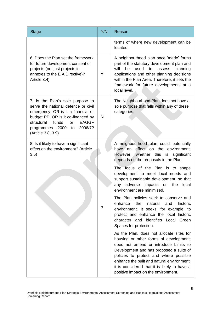| <b>Stage</b>                                                                                                                                                                                                                                            | Y/N | Reason                                                                                                                                                                                                                                                                                                                                                                                                                                                                    |
|---------------------------------------------------------------------------------------------------------------------------------------------------------------------------------------------------------------------------------------------------------|-----|---------------------------------------------------------------------------------------------------------------------------------------------------------------------------------------------------------------------------------------------------------------------------------------------------------------------------------------------------------------------------------------------------------------------------------------------------------------------------|
|                                                                                                                                                                                                                                                         |     | terms of where new development can be<br>located.                                                                                                                                                                                                                                                                                                                                                                                                                         |
| 6. Does the Plan set the framework<br>for future development consent of<br>projects (not just projects in<br>annexes to the EIA Directive)?<br>Article 3.4)                                                                                             | Y   | A neighbourhood plan once 'made' forms<br>part of the statutory development plan and<br>will<br>be<br>used<br>to<br>planning<br>assess<br>applications and other planning decisions<br>within the Plan Area. Therefore, it sets the<br>framework for future developments at a<br>local level.                                                                                                                                                                             |
| 7. Is the Plan's sole purpose to<br>serve the national defence or civil<br>emergency, OR is it a financial or<br>budget PP, OR is it co-financed by<br><b>EAGGF</b><br>structural<br>funds<br>or<br>programmes 2000 to<br>2006/7?<br>(Article 3.8, 3.9) | N   | The Neighbourhood Plan does not have a<br>sole purpose that falls within any of these<br>categories.                                                                                                                                                                                                                                                                                                                                                                      |
| 8. Is it likely to have a significant<br>effect on the environment? (Article<br>3.5)                                                                                                                                                                    | ?   | A neighbourhood plan could potentially<br>have an<br>effect on the<br>environment.<br>However, whether this<br>is significant<br>depends on the proposals in the Plan.<br>The focus of the Plan is to shape<br>development to meet local needs and<br>support sustainable development, so that<br>the<br>adverse<br>impacts<br>on<br>local<br>any<br>environment are minimised.<br>The Plan policies seek to conserve and<br>the<br>enhance<br>natural<br>historic<br>and |
|                                                                                                                                                                                                                                                         |     | environment. It seeks, for example, to<br>protect and enhance the local historic<br>character and identifies<br>Local Green<br>Spaces for protection.<br>As the Plan, does not allocate sites for<br>housing or other forms of development;<br>does not amend or introduce Limits to<br>Development and has proposed a suite of<br>policies to protect and where possible<br>enhance the built and natural environment,                                                   |
|                                                                                                                                                                                                                                                         |     | it is considered that it is likely to have a<br>positive impact on the environment.                                                                                                                                                                                                                                                                                                                                                                                       |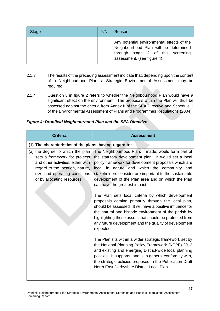| <b>Stage</b> | Y/N | Reason                                                                                                                                                  |
|--------------|-----|---------------------------------------------------------------------------------------------------------------------------------------------------------|
|              |     | Any potential environmental effects of the<br>Neighbourhood Plan will be determined<br>through stage 2 of this screening<br>assessment. (see figure 4). |

- 2.1.3 The results of the preceding assessment indicate that, depending upon the content of a Neighbourhood Plan, a Strategic Environmental Assessment may be required.
- 2.1.4 Question 8 in figure 2 refers to whether the Neighbourhood Plan would have a significant effect on the environment. The proposals within the Plan will thus be assessed against the criteria from Annex II of the SEA Directive and Schedule 1 of the Environmental Assessment of Plans and Programmes Regulations (2004)

|  | <b>Figure 4: Dronfield Neighbourhood Plan and the SEA Directive</b> |  |  |
|--|---------------------------------------------------------------------|--|--|
|--|---------------------------------------------------------------------|--|--|

| <b>Criteria</b>                                                                                                                                                                                           | <b>Assessment</b>                                                                                                                                                                                                                                                                                                                                                   |
|-----------------------------------------------------------------------------------------------------------------------------------------------------------------------------------------------------------|---------------------------------------------------------------------------------------------------------------------------------------------------------------------------------------------------------------------------------------------------------------------------------------------------------------------------------------------------------------------|
| (1) The characteristics of the plans, having regard to:                                                                                                                                                   |                                                                                                                                                                                                                                                                                                                                                                     |
| (a) the degree to which the plan<br>sets a framework for projects<br>and other activities, either with<br>regard to the location, nature,<br>size and operating conditions<br>or by allocating resources; | The Neighbourhood Plan, if made, would form part of<br>the statutory development plan. It would set a local<br>policy framework for development proposals which are<br>local in nature and which the community and<br>stakeholders consider are important to the sustainable<br>development of the Plan area and on which the Plan<br>can have the greatest impact. |
|                                                                                                                                                                                                           | The Plan sets local criteria by which development<br>proposals coming primarily through the local plan,<br>should be assessed. It will have a positive influence for<br>the natural and historic environment of the parish by<br>highlighting those assets that should be protected from<br>any future development and the quality of development<br>expected.      |
|                                                                                                                                                                                                           | The Plan sits within a wider strategic framework set by<br>the National Planning Policy Framework (NPPF) 2012<br>and existing and emerging District-wide local planning<br>policies. It supports, and is in general conformity with,<br>the strategic policies proposed in the Publication Draft<br>North East Derbyshire District Local Plan.                      |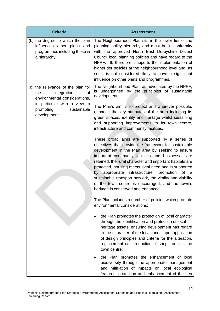| <b>Criteria</b>                                                                                                                       | <b>Assessment</b>                                                                                                                                                                                                                                                                                                                                                                                                                                                                                                                                   |
|---------------------------------------------------------------------------------------------------------------------------------------|-----------------------------------------------------------------------------------------------------------------------------------------------------------------------------------------------------------------------------------------------------------------------------------------------------------------------------------------------------------------------------------------------------------------------------------------------------------------------------------------------------------------------------------------------------|
| (b) the degree to which the plan<br>influences other plans and<br>programmes including those in<br>a hierarchy;                       | The Neighbourhood Plan sits in the lower tier of the<br>planning policy hierarchy and must be in conformity<br>with the approved North East Derbyshire District<br>Council local planning policies and have regard to the<br>NPPF. It, therefore, supports the implementation of<br>higher tier policies at the neighbourhood level and, as<br>such, is not considered likely to have a significant<br>influence on other plans and programmes.                                                                                                     |
| (c) the relevance of the plan for<br>integration<br><b>of</b><br>the<br>environmental considerations,<br>in particular with a view to | The Neighbourhood Plan, as advocated by the NPPF,<br>is underpinned<br>by the principles of sustainable<br>development.<br>The Plan's aim is to protect and wherever possible,                                                                                                                                                                                                                                                                                                                                                                      |
| promoting<br>sustainable<br>development;                                                                                              | enhance the key attributes of the area including its<br>green spaces, identity and heritage whilst sustaining<br>and supporting improvements to its town centre,<br>infrastructure and community facilities.                                                                                                                                                                                                                                                                                                                                        |
|                                                                                                                                       | These broad aims are supported by a series of<br>objectives that provide the framework for sustainable<br>development in the Plan area by seeking to ensure<br>important community facilities and businesses are<br>retained, the rural character and important habitats are<br>protected, housing meets local need and is supported<br>by appropriate<br>infrastructure, promotion<br>of a<br>sustainable transport network, the vitality and viability<br>of the town centre is encouraged, and the town's<br>heritage is conserved and enhanced. |
|                                                                                                                                       | The Plan includes a number of policies which promote<br>environmental considerations:                                                                                                                                                                                                                                                                                                                                                                                                                                                               |
|                                                                                                                                       | the Plan promotes the protection of local character<br>through the identification and protection of local<br>heritage assets, ensuring development has regard<br>to the character of the local landscape, application<br>of design principles and criteria for the alteration,<br>replacement or introduction of shop fronts in the<br>town centre;                                                                                                                                                                                                 |
|                                                                                                                                       | the Plan promotes the enhancement of local<br>biodiversity through the appropriate management<br>and mitigation of impacts on local ecological<br>features, protection and enhancement of the Lea                                                                                                                                                                                                                                                                                                                                                   |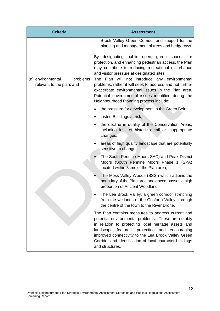| <b>Criteria</b>                                            | <b>Assessment</b>                                                                                                                                                                                                                                                                                                                                       |
|------------------------------------------------------------|---------------------------------------------------------------------------------------------------------------------------------------------------------------------------------------------------------------------------------------------------------------------------------------------------------------------------------------------------------|
|                                                            | Brook Valley Green Corridor and support for the<br>planting and management of trees and hedgerows.                                                                                                                                                                                                                                                      |
|                                                            | By designating public open, green spaces for<br>protection, and enhancing pedestrian access, the Plan<br>may contribute to reducing recreational disturbance<br>and visitor pressure at designated sites.                                                                                                                                               |
| (d) environmental<br>problems<br>relevant to the plan; and | The Plan will not introduce any environmental<br>problems, rather it will seek to address and not further<br>exacerbate environmental issues in the Plan area.<br>Potential environmental issues identified during the<br>Neighbourhood Planning process include:                                                                                       |
|                                                            | the pressure for development in the Green Belt;<br>$\bullet$                                                                                                                                                                                                                                                                                            |
|                                                            | Listed Buildings at risk;<br>$\bullet$                                                                                                                                                                                                                                                                                                                  |
|                                                            | the decline in quality of the Conservation Areas,<br>$\bullet$<br>including loss of historic detail or inappropriate<br>changes;                                                                                                                                                                                                                        |
|                                                            | areas of high quality landscape that are potentially<br>$\bullet$<br>sensitive to change;                                                                                                                                                                                                                                                               |
|                                                            | The South Pennine Moors SAC) and Peak District<br>Moors (South Pennine Moors Phase 1 (SPA)<br>located within 3kms of the Plan area;                                                                                                                                                                                                                     |
|                                                            | The Moss Valley Woods (SSSI) which adjoins the<br>boundary of the Plan area and encompasses a high<br>proportion of Ancient Woodland;                                                                                                                                                                                                                   |
|                                                            | The Lea Brook Valley, a green corridor stretching<br>from the wetlands of the Gosforth Valley through<br>the centre of the town to the River Drone.                                                                                                                                                                                                     |
|                                                            | The Plan contains measures to address current and<br>potential environmental problems. These are notably<br>in relation to protecting local heritage assets and<br>landscape features, protecting and encouraging<br>improved connectivity to the Lea Brook Valley Green<br>Corridor and identification of local character buildings<br>and structures. |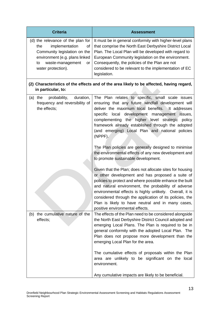| <b>Criteria</b>                                                                                                                                                                          | <b>Assessment</b>                                                                                                                                                                                                                                                                                                                                                                                                                                                                                                                                                                                                                                                                                                                                                                                                                                                                                                                                                                                                                                        |
|------------------------------------------------------------------------------------------------------------------------------------------------------------------------------------------|----------------------------------------------------------------------------------------------------------------------------------------------------------------------------------------------------------------------------------------------------------------------------------------------------------------------------------------------------------------------------------------------------------------------------------------------------------------------------------------------------------------------------------------------------------------------------------------------------------------------------------------------------------------------------------------------------------------------------------------------------------------------------------------------------------------------------------------------------------------------------------------------------------------------------------------------------------------------------------------------------------------------------------------------------------|
| (d) the relevance of the plan for<br>implementation<br>the<br>οf<br>Community legislation on the<br>environment (e.g. plans linked<br>waste-management<br>to<br>or<br>water protection). | It must be in general conformity with higher-level plans<br>that comprise the North East Derbyshire District Local<br>Plan. The Local Plan will be developed with regard to<br>European Community legislation on the environment.<br>Consequently, the policies of the Plan are not<br>considered to be relevant to the implementation of EC<br>legislation.                                                                                                                                                                                                                                                                                                                                                                                                                                                                                                                                                                                                                                                                                             |
| in particular, to:                                                                                                                                                                       | (2) Characteristics of the effects and of the area likely to be affected, having regard,                                                                                                                                                                                                                                                                                                                                                                                                                                                                                                                                                                                                                                                                                                                                                                                                                                                                                                                                                                 |
| probability,<br>duration,<br>the<br>(a)<br>frequency and reversibility of<br>the effects;<br>the cumulative nature of the<br>(b)                                                         | The Plan relates to specific, small scale issues<br>ensuring that any future windfall development will<br>deliver the maximum local benefits. It addresses<br>specific local development management issues,<br>complementing the higher level strategic<br>policy<br>framework already established through the adopted<br>(and emerging) Local Plan and national policies<br>(NPPF).<br>The Plan policies are generally designed to minimise<br>the environmental effects of any new development and<br>to promote sustainable development.<br>Given that the Plan; does not allocate sites for housing<br>or other development and has proposed a suite of<br>policies to protect and where possible enhance the built<br>and natural environment, the probability of adverse<br>environmental effects is highly unlikely. Overall, it is<br>considered through the application of its policies, the<br>Plan is likely to have neutral and in many cases,<br>positive environmental effects.<br>The effects of the Plan need to be considered alongside |
| effects;                                                                                                                                                                                 | the North East Derbyshire District Council adopted and<br>emerging Local Plans. The Plan is required to be in<br>general conformity with the adopted Local Plan. The<br>Plan does not propose more development than the<br>emerging Local Plan for the area.<br>The cumulative effects of proposals within the Plan<br>area are unlikely to be significant on the local<br>environment.<br>Any cumulative impacts are likely to be beneficial.                                                                                                                                                                                                                                                                                                                                                                                                                                                                                                                                                                                                           |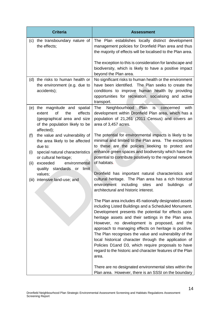| <b>Criteria</b>                                                                                                                                                                                                             | <b>Assessment</b>                                                                                                                                                                                                                                                                                                                                                                                                                                                                                                                                                                     |
|-----------------------------------------------------------------------------------------------------------------------------------------------------------------------------------------------------------------------------|---------------------------------------------------------------------------------------------------------------------------------------------------------------------------------------------------------------------------------------------------------------------------------------------------------------------------------------------------------------------------------------------------------------------------------------------------------------------------------------------------------------------------------------------------------------------------------------|
| the transboundary nature of<br>(c)<br>the effects;                                                                                                                                                                          | The Plan establishes locally distinct development<br>management policies for Dronfield Plan area and thus<br>the majority of effects will be localised to the Plan area.                                                                                                                                                                                                                                                                                                                                                                                                              |
|                                                                                                                                                                                                                             | The exception to this is consideration for landscape and<br>biodiversity, which is likely to have a positive impact<br>beyond the Plan area.                                                                                                                                                                                                                                                                                                                                                                                                                                          |
| (d) the risks to human health or<br>the environment (e.g. due to<br>accidents);                                                                                                                                             | No significant risks to human health or the environment<br>have been identified. The Plan seeks to create the<br>conditions to improve human health by providing<br>opportunities for recreation, socialising and active<br>transport.                                                                                                                                                                                                                                                                                                                                                |
| the magnitude and spatial<br>(e)<br>effects<br><b>of</b><br>the<br>extent<br>(geographical area and size<br>of the population likely to be<br>affected);                                                                    | Neighbourhood Plan<br>The<br>is`<br>with<br>concerned<br>development within Dronfield Plan area, which has a<br>population of 21,261 (2011 Census) and covers an<br>area of 3,457 acres.                                                                                                                                                                                                                                                                                                                                                                                              |
| the value and vulnerability of<br>(f)<br>the area likely to be affected<br>due to:<br>special natural characteristics<br>(i)<br>or cultural heritage;<br>(ii)<br>exceeded<br>environmental<br>quality standards or<br>limit | The potential for environmental impacts is likely to be<br>minimal and limited to the Plan area. The exceptions<br>to these are the policies seeking to protect and<br>enhance green spaces and biodiversity which have the<br>potential to contribute positively to the regional network<br>of habitats.                                                                                                                                                                                                                                                                             |
| values;<br>intensive land-use; and<br>(iii)                                                                                                                                                                                 | Dronfield has important natural characteristics and<br>cultural heritage. The Plan area has a rich historical<br>environment<br>including<br>sites<br>buildings<br>and<br>οf<br>architectural and historic interest.                                                                                                                                                                                                                                                                                                                                                                  |
|                                                                                                                                                                                                                             | The Plan area includes 45 nationally designated assets<br>including Listed Buildings and a Scheduled Monument.<br>Development presents the potential for effects upon<br>heritage assets and their settings in the Plan area.<br>However, no development is proposed, and the<br>approach to managing effects on heritage is positive.<br>The Plan recognises the value and vulnerability of the<br>local historical character through the application of<br>Policies D1and D3, which require proposals to have<br>regard to the historic and character features of the Plan<br>area. |
|                                                                                                                                                                                                                             | There are no designated environmental sites within the<br>Plan area. However, there is an SSSI on the boundary                                                                                                                                                                                                                                                                                                                                                                                                                                                                        |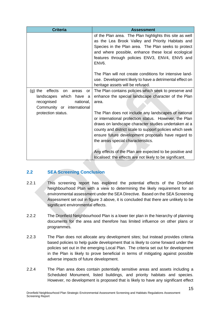| <b>Criteria</b>                                                                                                                                      | <b>Assessment</b>                                                                                                                                                                                                                                                                                                             |
|------------------------------------------------------------------------------------------------------------------------------------------------------|-------------------------------------------------------------------------------------------------------------------------------------------------------------------------------------------------------------------------------------------------------------------------------------------------------------------------------|
|                                                                                                                                                      | of the Plan area. The Plan highlights this site as well<br>as the Lea Brook Valley and Priority Habitats and<br>Species in the Plan area. The Plan seeks to protect<br>and where possible, enhance these local ecological<br>features through policies ENV3, ENV4, ENV5 and<br>ENV <sub>6</sub> .                             |
|                                                                                                                                                      | The Plan will not create conditions for intensive land-<br>use. Development likely to have a detrimental effect on<br>heritage assets will be refused.                                                                                                                                                                        |
| effects<br>$(g)$ the<br><b>on</b><br>areas<br><b>or</b><br>which<br>landscapes<br>have<br>a<br>recognised<br>national,<br>Community or international | The Plan contains policies which seek to preserve and<br>enhance the special landscape character of the Plan<br>area.                                                                                                                                                                                                         |
| protection status.                                                                                                                                   | The Plan does not include any landscapes of national<br>or international protection status. However, the Plan<br>draws on landscape character studies undertaken at a<br>county and district scale to support policies which seek<br>ensure future development proposals have regard to<br>the areas special characteristics. |
|                                                                                                                                                      | Any effects of the Plan are expected to be positive and<br>localised: the effects are not likely to be significant.                                                                                                                                                                                                           |

## **2.2 SEA Screening Conclusion**

- 2.2.1 This screening report has explored the potential effects of the Dronfield Neighbourhood Plan with a view to determining the likely requirement for an environmental assessment under the SEA Directive. Based on the SEA Screening Assessment set out in figure 3 above, it is concluded that there are unlikely to be significant environmental effects.
- 2.2.2 The Dronfield Neighbourhood Plan is a lower tier plan in the hierarchy of planning documents for the area and therefore has limited influence on other plans or programmes.
- 2.2.3 The Plan does not allocate any development sites; but instead provides criteria based policies to help guide development that is likely to come forward under the policies set out in the emerging Local Plan. The criteria set out for development in the Plan is likely to prove beneficial in terms of mitigating against possible adverse impacts of future development.
- 2.2.4 The Plan area does contain potentially sensitive areas and assets including a Scheduled Monument, listed buildings, and priority habitats and species. However, no development is proposed that is likely to have any significant effect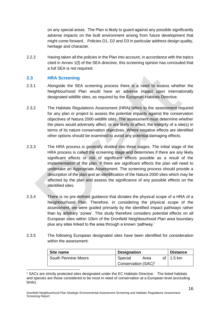on any special areas. The Plan is likely to guard against any possible significantly adverse impacts on the built environment arising from future development that might come forward.. Policies D1, D2 and D3 in particular address design quality, heritage and character.

2.2.2 Having taken all the policies in the Plan into account, in accordance with the topics cited in Annex 1(f) of the SEA directive, this screening opinion has concluded that a full SEA is not required.

## **2.3 HRA Screening**

- 2.3.1 Alongside the SEA screening process there is a need to assess whether the Neighbourhood Plan would have an adverse impact upon internationally designated wildlife sites, as required by the European Habitats Directive.
- 2.3.2 The Habitats Regulations Assessment (HRA) refers to the assessment required for any plan or project to assess the potential impacts against the conservation objectives of Natura 2000 wildlife sites. The assessment must determine whether the plans would adversely affect, or are likely to affect, the integrity of a site(s) in terms of its nature conservation objectives. Where negative effects are identified other options should be examined to avoid any potential damaging effects.
- 2.3.3 The HRA process is generally divided into three stages. The initial stage of the HRA process is called the screening stage and determines if there are any likely significant effects or risk of significant effects possible as a result of the implementation of the plan. If there are significant effects the plan will need to undertake an Appropriate Assessment. The screening process should provide a description of the plan and an identification of the Natura 2000 sites which may be affected by the plan and assess the significance of any possible effects on the identified sites.
- 2.3.4 There is no pre-defined guidance that dictates the physical scope of a HRA of a Neighbourhood Plan. Therefore, in considering the physical scope of the assessment, we were guided primarily by the identified impact pathways rather than by arbitrary 'zones'. This study therefore considers potential effects on all European sites within 10km of the Dronfield Neighbourhood Plan area boundary plus any sites linked to the area through a known 'pathway.'
- 2.3.5 The following European designated sites have been identified for consideration within the assessment:

| Site name                  | <b>Designation</b>              |      | <b>Distance</b> |                   |
|----------------------------|---------------------------------|------|-----------------|-------------------|
| <b>South Pennine Moors</b> | Special                         | Area |                 | of $\vert$ 1.5 km |
|                            | Conservation (SAC) <sup>1</sup> |      |                 |                   |

<sup>1</sup> <sup>1</sup> SACs are strictly protected sites designated under the EC Habitats Directive. The listed habitats and species are those considered to be most in need of conservation at a European level (excluding birds).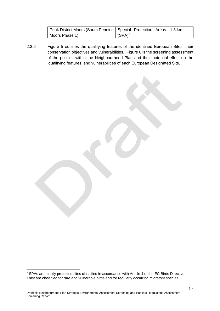| Peak District Moors (South Pennine   Special Protection Areas   1.3 km |           |  |
|------------------------------------------------------------------------|-----------|--|
| Moors Phase 1)                                                         | $(SPA)^2$ |  |

2.3.6 Figure 5 outlines the qualifying features of the identified European Sites, their conservation objectives and vulnerabilities. Figure 6 is the screening assessment of the policies within the Neighbourhood Plan and their potential effect on the 'qualifying features' and vulnerabilities of each European Designated Site.

1

<sup>2</sup> SPAs are strictly protected sites classified in accordance with Article 4 of the EC Birds Directive. They are classified for rare and vulnerable birds and for regularly occurring migratory species.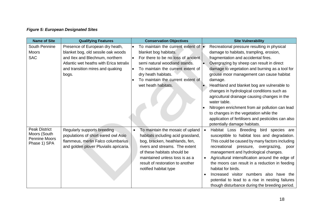# *Figure 5: European Designated Sites*

| <b>Name of Site</b>                                                          | <b>Qualifying Features</b>                                                                                                                                                                       | <b>Conservation Objectives</b>                                                                                                                                                                                                                                                        | <b>Site Vulnerability</b>                                                                                                                                                                                                                                                                                                                                                                                                                                                                                                                                                                                                           |
|------------------------------------------------------------------------------|--------------------------------------------------------------------------------------------------------------------------------------------------------------------------------------------------|---------------------------------------------------------------------------------------------------------------------------------------------------------------------------------------------------------------------------------------------------------------------------------------|-------------------------------------------------------------------------------------------------------------------------------------------------------------------------------------------------------------------------------------------------------------------------------------------------------------------------------------------------------------------------------------------------------------------------------------------------------------------------------------------------------------------------------------------------------------------------------------------------------------------------------------|
| South Pennine<br><b>Moors</b><br><b>SAC</b>                                  | Presence of European dry heath,<br>blanket bog, old sessile oak woods<br>and Ilex and Blechnum, northern<br>Atlantic wet heaths with Erica tetralix<br>and transition mires and quaking<br>bogs. | To maintain the current extent of $\bullet$<br>blanket bog habitats.<br>For there to be no loss of ancient<br>semi natural woodland stands.<br>To maintain the current extent of<br>dry heath habitats.<br>To maintain the current extent of<br>wet heath habitats.                   | Recreational pressure resulting in physical<br>damage to habitats, trampling, erosion,<br>fragmentation and accidental fires.<br>Overgrazing by sheep can result in direct<br>damage to vegetation and burning as a tool for<br>grouse moor management can cause habitat<br>damage.<br>Heathland and blanket bog are vulnerable to<br>changes in hydrological conditions such as<br>agricultural drainage causing changes in the<br>water table.<br>Nitrogen enrichment from air pollution can lead<br>to changes in the vegetation while the<br>application of fertilisers and pesticides can also<br>potentially damage habitats. |
| <b>Peak District</b><br>Moors (South<br><b>Pennine Moors</b><br>Phase 1) SPA | Regularly supports breeding<br>populations of short eared owl Asio<br>flammeus, merlin Falco columbarius<br>and golden plover Pluvialis apricaria.                                               | To maintain the mosaic of upland<br>$\bullet$<br>habitats including acid grassland,<br>bog, bracken, heathlands, fen,<br>rivers and streams. The extent<br>of these habitats should be<br>maintained unless loss is as a<br>result of restoration to another<br>notified habitat type | Habitat Loss Breeding bird species are<br>susceptible to habitat loss and degradation.<br>This could be caused by many factors including<br>recreational pressure, overgrazing,<br>poor<br>management and hydrological changes.<br>Agricultural intensification around the edge of<br>the moors can result in a reduction in feeding<br>habitat for birds.<br>Increased visitor numbers also have the<br>$\bullet$<br>potential to lead to a rise in nesting failures<br>though disturbance during the breeding period.                                                                                                             |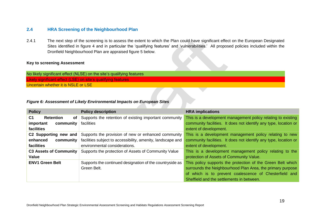## **2.4 HRA Screening of the Neighbourhood Plan**

2.4.1 The next step of the screening is to assess the extent to which the Plan could have significant effect on the European Designated Sites identified in figure 4 and in particular the 'qualifying features' and 'vulnerabilities.' All proposed policies included within the Dronfield Neighbourhood Plan are appraised figure 5 below.

#### **Key to screening Assessment**

No likely significant effect (NLSE) on the site's qualifying features Likely significant effect (LSE) on site's qualifying features Uncertain whether it is NSLE or LSE

#### *Figure 6: Assessment of Likely Environmental Impacts on European Sites*

| <b>Policy</b>                            | <b>Policy description</b>                                   | <b>HRA</b> implications                                          |
|------------------------------------------|-------------------------------------------------------------|------------------------------------------------------------------|
| C <sub>1</sub><br><b>Retention</b><br>0f | Supports the retention of existing important community      | This is a development management policy relating to existing     |
| important<br>community                   | facilities                                                  | community facilities. It does not identify any type, location or |
| facilities                               |                                                             | extent of development.                                           |
| C2 Supporting new and                    | Supports the provision of new or enhanced community         | This is a development management policy relating to new          |
| enhanced<br>community                    | facilities subject to accessibility, amenity, landscape and | community facilities. It does not identify any type, location or |
| facilities                               | environmental considerations.                               | extent of development.                                           |
| <b>C3 Assets of Community</b>            | Supports the protection of Assets of Community Value        | This is a development management policy relating to the          |
| <b>Value</b>                             |                                                             | protection of Assets of Community Value.                         |
| <b>ENV1 Green Belt</b>                   | Supports the continued designation of the countryside as    | This policy supports the protection of the Green Belt which      |
|                                          | Green Belt.                                                 | surrounds the Neighbourhood Plan Area, the primary purpose       |
|                                          |                                                             | of which is to prevent coalescence of Chesterfield and           |
|                                          |                                                             | Sheffield and the settlements in between.                        |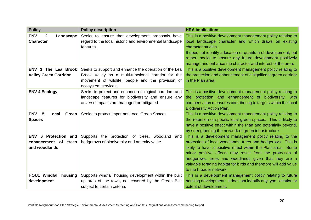| <b>Policy</b>                                                 | <b>Policy description</b>                                                                                                                                                                | <b>HRA</b> implications                                                                                                                                                                                                                                                                                                                                                                                  |
|---------------------------------------------------------------|------------------------------------------------------------------------------------------------------------------------------------------------------------------------------------------|----------------------------------------------------------------------------------------------------------------------------------------------------------------------------------------------------------------------------------------------------------------------------------------------------------------------------------------------------------------------------------------------------------|
| <b>ENV</b><br>$\mathbf{2}$<br>Landscape<br><b>Character</b>   | Seeks to ensure that development proposals have<br>regard to the local historic and environmental landscape<br>features.                                                                 | This is a positive development management policy relating to<br>local landscape character and which draws on existing<br>character studies.<br>It does not identify a location or quantum of development, but<br>rather, seeks to ensure any future development positively<br>manage and enhance the character and interest of the area.                                                                 |
| <b>ENV 3 The Lea Brook</b><br><b>Valley Green Corridor</b>    | Seeks to support and enhance the operation of the Lea<br>Brook Valley as a multi-functional corridor for the<br>movement of wildlife, people and the provision of<br>ecosystem services. | This is a positive development management policy relating to<br>the protection and enhancement of a significant green corridor<br>in the Plan area.                                                                                                                                                                                                                                                      |
| <b>ENV 4 Ecology</b>                                          | Seeks to protect and enhance ecological corridors and<br>landscape features for biodiversity and ensure any<br>adverse impacts are managed or mitigated.                                 | This is a positive development management policy relating to<br>the protection and enhancement of biodiversity, with<br>compensation measures contributing to targets within the local<br><b>Biodiversity Action Plan.</b>                                                                                                                                                                               |
| <b>ENV</b><br>5<br>Green<br>Local<br><b>Spaces</b>            | Seeks to protect important Local Green Spaces.                                                                                                                                           | This is a positive development management policy relating to<br>the retention of specific local green spaces. This is likely to<br>have a positive effect within the Plan and potentially beyond,<br>by strengthening the network of green infrastructure.                                                                                                                                               |
| ENV 6 Protection and<br>enhancement of trees<br>and woodlands | Supports the protection of trees, woodland<br>and<br>hedgerows of biodiversity and amenity value.                                                                                        | This is a development management policy relating to the<br>protection of local woodlands, trees and hedgerows. This is<br>likely to have a positive effect within the Plan area. Some<br>minor positive effects may result from the protection of<br>hedgerows, trees and woodlands given that they are a<br>valuable foraging habitat for birds and therefore will add value<br>to the broader network. |
| <b>HOU1 Windfall housing</b><br>development                   | Supports windfall housing development within the built<br>up area of the town, not covered by the Green Belt<br>subject to certain criteria.                                             | This is a development management policy relating to future<br>housing development. It does not identify any type, location or<br>extent of development.                                                                                                                                                                                                                                                  |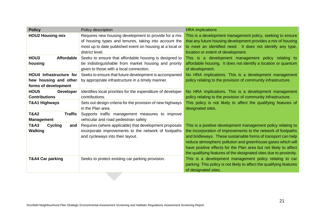| <b>Policy</b>                                                            | Policy description                                                                                                                                                                            | <b>HRA</b> implications                                                                                                                                                                                                                                                                                                                                                                                 |
|--------------------------------------------------------------------------|-----------------------------------------------------------------------------------------------------------------------------------------------------------------------------------------------|---------------------------------------------------------------------------------------------------------------------------------------------------------------------------------------------------------------------------------------------------------------------------------------------------------------------------------------------------------------------------------------------------------|
| <b>HOU2 Housing mix</b>                                                  | Requires new housing development to provide for a mix<br>of housing types and tenures, taking into account the<br>most up to date published event on housing at a local or<br>district level. | This is a development management policy, seeking to ensure<br>that any future housing development provides a mix of housing<br>to meet an identified need. It does not identify any type,<br>location or extent of development.                                                                                                                                                                         |
| HOU <sub>3</sub><br><b>Affordable</b><br>housing                         | Seeks to ensure that affordable housing is designed to<br>be indistinguishable from market housing and priority<br>given to those with a local connection.                                    | This is a development management policy relating to<br>affordable housing. It does not identify a location or quantum<br>of development.                                                                                                                                                                                                                                                                |
| HOU4 Infrastructure for<br>hew housing and other<br>forms of development | Seeks to ensure that future development is accompanied<br>by appropriate infrastructure in a timely manner.                                                                                   | No HRA implications. This is a development management<br>policy relating to the provision of community infrastructure.                                                                                                                                                                                                                                                                                  |
| HOU <sub>5</sub><br><b>Developer</b><br><b>Contributions</b>             | Identifies local priorities for the expenditure of developer<br>contributions.                                                                                                                | No HRA implications. This is a development management<br>policy relating to the provision of community infrastructure.                                                                                                                                                                                                                                                                                  |
| T&A1 Highways                                                            | Sets out design criteria for the provision of new highways<br>in the Plan area                                                                                                                | This policy is not likely to affect the qualifying features of<br>designated sites.                                                                                                                                                                                                                                                                                                                     |
| <b>T&amp;A2</b><br><b>Traffic</b><br><b>Management</b>                   | Supports traffic management measures to improve<br>vehicular and road pedestrian safety                                                                                                       |                                                                                                                                                                                                                                                                                                                                                                                                         |
| <b>T&amp;A3</b><br><b>Cycling</b><br>and<br><b>Walking</b>               | Requires (where applicable) that development proposals<br>incorporate improvements to the network of footpaths<br>and cycleways into their layout.                                            | This is a positive development management policy relating to<br>the incorporation of improvements to the network of footpaths<br>and bridleways. These sustainable forms of transport can help<br>reduce atmospheric pollution and greenhouse gases which will<br>have positive effects for the Plan area but not likely to affect<br>the qualifying features of the designated sites due to proximity. |
| T&A4 Car parking                                                         | Seeks to protect existing car parking provision.                                                                                                                                              | This is a development management policy relating to car<br>parking. This policy is not likely to affect the qualifying features<br>of designated sites.                                                                                                                                                                                                                                                 |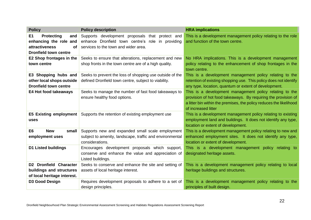| <b>Policy</b>                                                                                                           | <b>Policy description</b>                                                                                                                    | <b>HRA</b> implications                                                                                                                                                                                                 |
|-------------------------------------------------------------------------------------------------------------------------|----------------------------------------------------------------------------------------------------------------------------------------------|-------------------------------------------------------------------------------------------------------------------------------------------------------------------------------------------------------------------------|
| E1<br><b>Protecting</b><br>and<br>enhancing the role and<br><b>attractiveness</b><br>οf<br><b>Dronfield town centre</b> | Supports development proposals that protect and<br>enhance Dronfield town centre's role in providing<br>services to the town and wider area. | This is a development management policy relating to the role<br>and function of the town centre.                                                                                                                        |
| E2 Shop frontages in the<br>town centre                                                                                 | Seeks to ensure that alterations, replacement and new<br>shop fronts in the town centre are of a high quality.                               | No HRA implications. This is a development management<br>policy relating to the enhancement of shop frontages in the<br>town centre.                                                                                    |
| E3 Shopping hubs and<br>other local shops outside<br><b>Dronfield town centre</b>                                       | Seeks to prevent the loss of shopping use outside of the<br>defined Dronfield town centre, subject to viability.                             | This is a development management policy relating to the<br>retention of existing shopping use. This policy does not identify<br>any type, location, quantum or extent of development.                                   |
| E4 Hot food takeaways                                                                                                   | Seeks to manage the number of fast food takeaways to<br>ensure healthy food options.                                                         | This is a development management policy relating to the<br>provision of hot food takeaways. By requiring the provision of<br>a litter bin within the premises, the policy reduces the likelihood<br>of increased litter |
| <b>E5 Existing employment</b><br>uses                                                                                   | Supports the retention of existing employment use                                                                                            | This is a development management policy relating to existing<br>employment land and buildings. It does not identify any type,<br>location or extent of development.                                                     |
| E <sub>6</sub><br><b>New</b><br>small<br>employment uses                                                                | Supports new and expanded small scale employment<br>subject to amenity, landscape, traffic and environmental<br>considerations.              | This is a development management policy relating to new and<br>enhanced employment sites. It does not identify any type,<br>location or extent of development.                                                          |
| <b>D1 Listed buildings</b>                                                                                              | Encourages development proposals which support,<br>conserve and enhance the value and appreciation of<br>Listed buildings.                   | This is a development management policy relating to<br>designated heritage assets.                                                                                                                                      |
| D2 Dronfield Character<br>buildings and structures<br>of local heritage interest.                                       | Seeks to conserve and enhance the site and setting of<br>assets of local heritage interest.                                                  | This is a development management policy relating to local<br>heritage buildings and structures.                                                                                                                         |
| D3 Good Design                                                                                                          | Requires development proposals to adhere to a set of<br>design principles.                                                                   | This is a development management policy relating to the<br>principles of built design.                                                                                                                                  |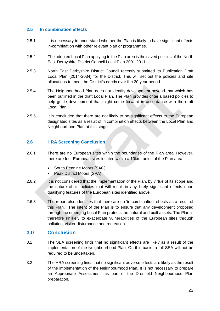## **2.5 In combination effects**

- 2.5.1 It is necessary to understand whether the Plan is likely to have significant effects in-combination with other relevant plan or programmes.
- 2.5.2 The adopted Local Plan applying to the Plan area is the saved policies of the North East Derbyshire District Council Local Plan 2001-2011.
- 2.5.3 North East Derbyshire District Council recently submitted its Publication Draft Local Plan (2014-2034) for the District. This will set out the policies and site allocations to meet the District's needs over the 20 year period.
- 2.5.4 The Neighbourhood Plan does not identify development beyond that which has been outlined in the draft Local Plan. The Plan provides criteria based policies to help guide development that might come forward in accordance with the draft Local Plan.
- 2.5.5 It is concluded that there are not likely to be significant effects to the European designated sites as a result of in combination effects between the Local Plan and Neighbourhood Plan at this stage.

## **2.6 HRA Screening Conclusion**

- 2.6.1 There are no European sites within the boundaries of the Plan area. However, there are four European sites located within a 10km radius of the Plan area:
	- South Pennine Moors (SAC)
	- Peak District Moors (SPA)
- 2.6.2 It is not considered that the implementation of the Plan, by virtue of its scope and the nature of its policies that will result in any likely significant effects upon qualifying features of the European sites identified above.
- 2.6.3 The report also identifies that there are no 'in combination' effects as a result of this Plan. The intent of the Plan is to ensure that any development proposed through the emerging Local Plan protects the natural and built assets. The Plan is therefore unlikely to exacerbate vulnerabilities of the European sites through pollution, visitor disturbance and recreation.

## **3.0 Conclusion**

- 3.1 The SEA screening finds that no significant effects are likely as a result of the implementation of the Neighbourhood Plan. On this basis, a full SEA will not be required to be undertaken.
- 3.2 The HRA screening finds that no significant adverse effects are likely as the result of the implementation of the Neighbourhood Plan. It is not necessary to prepare an Appropriate Assessment, as part of the Dronfield Neighbourhood Plan preparation.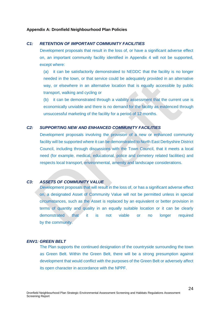#### **Appendix A: Dronfield Neighbourhood Plan Policies**

#### *C1: RETENTION OF IMPORTANT COMMUNITY FACILITIES*

Development proposals that result in the loss of, or have a significant adverse effect on, an important community facility identified in Appendix 4 will not be supported, except where:

(a) it can be satisfactorily demonstrated to NEDDC that the facility is no longer needed in the town, or that service could be adequately provided in an alternative way, or elsewhere in an alternative location that is equally accessible by public transport, walking and cycling or

(b) it can be demonstrated through a viability assessment that the current use is economically unviable and there is no demand for the facility as evidenced through unsuccessful marketing of the facility for a period of 12 months.

#### *C2: SUPPORTING NEW AND ENHANCED COMMUNITY FACILITIES*

Development proposals involving the provision of a new or enhanced community facility will be supported where it can be demonstrated to North East Derbyshire District Council, including through discussions with the Town Council, that it meets a local need (for example, medical, educational, police and cemetery related facilities) and respects local transport, environmental, amenity and landscape considerations.

#### *C3: ASSETS OF COMMUNITY VALUE*

Development proposals that will result in the loss of, or has a significant adverse effect on, a designated Asset of Community Value will not be permitted unless in special circumstances, such as the Asset is replaced by an equivalent or better provision in terms of quantity and quality in an equally suitable location or it can be clearly demonstrated that it is not viable or no longer required by the community.

#### *ENV1: GREEN BELT*

The Plan supports the continued designation of the countryside surrounding the town as Green Belt. Within the Green Belt, there will be a strong presumption against development that would conflict with the purposes of the Green Belt or adversely affect its open character in accordance with the NPPF.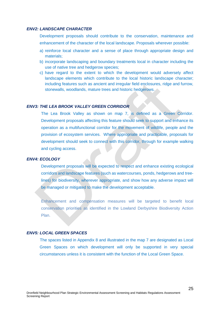#### *ENV2: LANDSCAPE CHARACTER*

Development proposals should contribute to the conservation, maintenance and enhancement of the character of the local landscape. Proposals wherever possible:

- a) reinforce local character and a sense of place through appropriate design and materials;
- b) incorporate landscaping and boundary treatments local in character including the use of native tree and hedgerow species;
- c) have regard to the extent to which the development would adversely affect landscape elements which contribute to the local historic landscape character; including features such as ancient and irregular field enclosures, ridge and furrow, stonewalls, woodlands, mature trees and historic hedgerows.

#### *ENV3: THE LEA BROOK VALLEY GREEN CORRIDOR*

The Lea Brook Valley as shown on map 7, is defined as a Green Corridor. Development proposals affecting this feature should seek to support and enhance its operation as a multifunctional corridor for the movement of wildlife, people and the provision of ecosystem services. Where appropriate and practicable, proposals for development should seek to connect with this corridor, through for example walking and cycling access.

#### *ENV4: ECOLOGY*

Development proposals will be expected to respect and enhance existing ecological corridors and landscape features (such as watercourses, ponds, hedgerows and treelines) for biodiversity, wherever appropriate, and show how any adverse impact will be managed or mitigated to make the development acceptable.

Enhancement and compensation measures will be targeted to benefit local conservation priorities as identified in the Lowland Derbyshire Biodiversity Action Plan.

## *ENV5: LOCAL GREEN SPACES*

The spaces listed in Appendix 8 and illustrated in the map 7 are designated as Local Green Spaces on which development will only be supported in very special circumstances unless it is consistent with the function of the Local Green Space.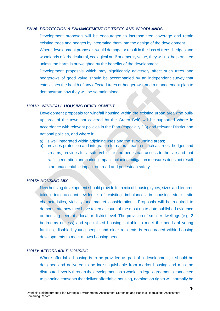#### *ENV6: PROTECTION & ENHANCEMENT OF TREES AND WOODLANDS*

Development proposals will be encouraged to increase tree coverage and retain existing trees and hedges by integrating them into the design of the development.

Where development proposals would damage or result in the loss of trees, hedges and woodlands of arboricultural, ecological and/ or amenity value, they will not be permitted unless the harm is outweighed by the benefits of the development.

Development proposals which may significantly adversely affect such trees and hedgerows of good value should be accompanied by an independent survey that establishes the health of any affected trees or hedgerows, and a management plan to demonstrate how they will be so maintained.

#### *HOU1: WINDFALL HOUSING DEVELOPMENT*

Development proposals for windfall housing within the existing urban area (the builtup area of the town not covered by the Green Belt) will be supported where in accordance with relevant policies in the Plan (especially D3) and relevant District and national policies, and where it:

- a) is well integrated within adjoining uses and the surrounding areas;
- b) provides protection and integration for natural features such as trees, hedges and streams; provides for a safe vehicular and pedestrian access to the site and that traffic generation and parking impact including mitigation measures does not result in an unacceptable impact on, road and pedestrian safety

#### *HOU2: HOUSING MIX*

New housing development should provide for a mix of housing types, sizes and tenures taking into account evidence of existing imbalances in housing stock, site characteristics, viability and market considerations. Proposals will be required to demonstrate how they have taken account of the most up to date published evidence on housing need at a local or district level. The provision of smaller dwellings (e.g. 2 bedrooms or less) and specialised housing suitable to meet the needs of young families, disabled, young people and older residents is encouraged within housing developments to meet a town housing need

## *HOU3: AFFORDABLE HOUSING*

Where affordable housing is to be provided as part of a development, it should be designed and delivered to be indistinguishable from market housing and must be distributed evenly through the development as a whole. In legal agreements connected to planning consents that deliver affordable housing, nomination rights will normally be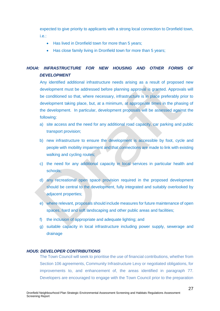expected to give priority to applicants with a strong local connection to Dronfield town, i.e.:

- Has lived in Dronfield town for more than 5 years;
- Has close family living in Dronfield town for more than 5 years;

# *HOU4: INFRASTRUCTURE FOR NEW HOUSING AND OTHER FORMS OF DEVELOPMENT*

Any identified additional infrastructure needs arising as a result of proposed new development must be addressed before planning approval is granted. Approvals will be conditioned so that, where necessary, infrastructure is in place preferably prior to development taking place, but, at a minimum, at appropriate times in the phasing of the development. In particular, development proposals will be assessed against the following:

- a) site access and the need for any additional road capacity, car parking and public transport provision;
- b) new infrastructure to ensure the development is accessible by foot, cycle and people with mobility impairment and that connections are made to link with existing walking and cycling routes;
- c) the need for any additional capacity in local services in particular health and schools;
- d) any recreational open space provision required in the proposed development should be central to the development, fully integrated and suitably overlooked by adjacent properties;
- e) where relevant, proposals should include measures for future maintenance of open spaces, hard and soft landscaping and other public areas and facilities;
- f) the inclusion of appropriate and adequate lighting; and
- g) suitable capacity in local infrastructure including power supply, sewerage and drainage

#### *HOU5: DEVELOPER CONTRIBUTIONS*

The Town Council will seek to prioritise the use of financial contributions, whether from Section 106 agreements, Community Infrastructure Levy or negotiated obligations, for improvements to, and enhancement of, the areas identified in paragraph 77. Developers are encouraged to engage with the Town Council prior to the preparation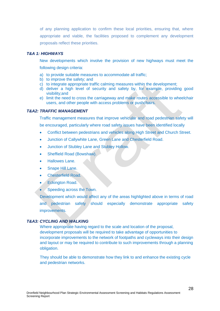of any planning application to confirm these local priorities, ensuring that, where appropriate and viable, the facilities proposed to complement any development proposals reflect these priorities.

#### *T&A 1: HIGHWAYS*

New developments which involve the provision of new highways must meet the following design criteria:

- a) to provide suitable measures to accommodate all traffic;
- b) to improve the safety; and
- c) to integrate appropriate traffic calming measures within the development;
- d) deliver a high level of security and safety by, for example, providing good visibility;and
- e) limit the need to cross the carriageway and make routes accessible to wheelchair users, and other people with access problems or pushchairs.

#### *T&A2: TRAFFIC MANAGEMENT*

Traffic management measures that improve vehicular and road pedestrian safety will be encouraged, particularly where road safety issues have been identified locally

- Conflict between pedestrians and vehicles along High Street and Church Street.
- Junction of Callywhite Lane, Green Lane and Chesterfield Road.
- Junction of Stubley Lane and Stubley Hollow.
- Sheffield Road (Bowshaw).
- Hallowes Lane.
- Snape Hill Lane.
- Chesterfield Road.
- Eckington Road.
- Speeding across the Town.

Development which would affect any of the areas highlighted above in terms of road and pedestrian safety should especially demonstrate appropriate safety improvements.

#### *T&A3: CYCLING AND WALKING*

Where appropriate having regard to the scale and location of the proposal, development proposals will be required to take advantage of opportunities to incorporate improvements to the network of footpaths and cycleways into their design and layout or may be required to contribute to such improvements through a planning obligation.

They should be able to demonstrate how they link to and enhance the existing cycle and pedestrian networks.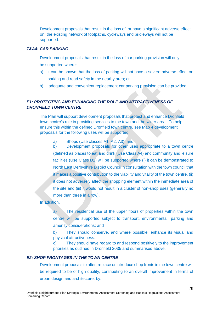Development proposals that result in the loss of, or have a significant adverse effect on, the existing network of footpaths, cycleways and bridleways will not be supported.

## *T&A4: CAR PARKING*

Development proposals that result in the loss of car parking provision will only be supported where:

- a) it can be shown that the loss of parking will not have a severe adverse effect on parking and road safety in the nearby area; or
- b) adequate and convenient replacement car parking provision can be provided.

## *E1: PROTECTING AND ENHANCING THE ROLE AND ATTRACTIVENESS OF DRONFIELD TOWN CENTRE*

The Plan will support development proposals that protect and enhance Dronfield town centre's role in providing services to the town and the wider area. To help ensure this within the defined Dronfield town centre, see Map 4 development proposals for the following uses will be supported.

a) Shops (Use classes A1, A2, A3); and

b) Development proposals for other uses appropriate to a town centre (defined as places to eat and drink (Use Class A4) and community and leisure facilities (Use Class D2) will be supported where (i) it can be demonstrated to North East Derbyshire District Council in consultation with the town council that it makes a positive contribution to the viability and vitality of the town centre, (ii) it does not adversely affect the shopping element within the immediate area of the site and (iii) it would not result in a cluster of non-shop uses (generally no more than three in a row).

In addition,

a) The residential use of the upper floors of properties within the town centre will be supported subject to transport, environmental, parking and amenity considerations; and

b) They should conserve, and where possible, enhance its visual and physical attractiveness.

c) They should have regard to and respond positively to the improvement priorities as outlined in Dronfield 2035 and summarised above.

#### *E2: SHOP FRONTAGES IN THE TOWN CENTRE*

Development proposals to alter, replace or introduce shop fronts in the town centre will be required to be of high quality, contributing to an overall improvement in terms of urban design and architecture, by: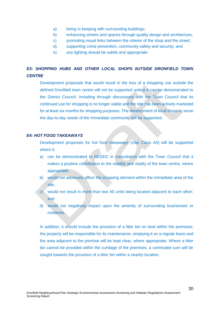- a) being in keeping with surrounding buildings;
- b) enhancing streets and spaces through quality design and architecture;
- c) promoting visual links between the interior of the shop and the street;
- d) supporting crime prevention, community safety and security; and
- e) any lighting should be subtle and appropriate.

# **E3: SHOPPING HUBS AND OTHER LOCAL SHOPS OUTSIDE DRONFIELD TOWN** *CENTRE*

Development proposals that would result in the loss of a shopping use outside the defined Dronfield town centre will not be supported unless it can be demonstrated to the District Council, including through discussions with the Town Council that its continued use for shopping is no longer viable and the site has been actively marketed for at least six months for shopping purposes. The development of local shops to serve the day-to-day needs of the immediate community will be supported.

## *E4: HOT FOOD TAKEAWAYS*

Development proposals for hot food takeaways (Use Class A5) will be supported where it:

- a) can be demonstrated to NEDDC in consultation with the Town Council that it makes a positive contribution to the viability and vitality of the town centre, where appropriate;
- b) would not adversely affect the shopping element within the immediate area of the site:
- c) would not result in more than two A5 units being located adjacent to each other; and
- d) would not negatively impact upon the amenity of surrounding businesses or residents.

In addition, it should include the provision of a litter bin on land within the premises; the property will be responsible for its maintenance, emptying it on a regular basis and the area adjacent to the premise will be kept clear, where appropriate. Where a litter bin cannot be provided within the curtilage of the premises, a commuted sum will be sought towards the provision of a litter bin within a nearby location.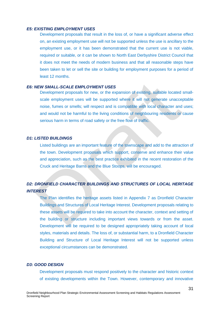#### *E5: EXISTING EMPLOYMENT USES*

Development proposals that result in the loss of, or have a significant adverse effect on, an existing employment use will not be supported unless the use is ancillary to the employment use, or it has been demonstrated that the current use is not viable, required or suitable, or it can be shown to North East Derbyshire District Council that it does not meet the needs of modern business and that all reasonable steps have been taken to let or sell the site or building for employment purposes for a period of least 12 months.

## *E6: NEW SMALL-SCALE EMPLOYMENT USES*

Development proposals for new, or the expansion of existing, suitable located smallscale employment uses will be supported where it will not generate unacceptable noise, fumes or smells; will respect and is compatible with local character and uses; and would not be harmful to the living conditions of neighbouring residents or cause serious harm in terms of road safety or the free flow of traffic.

#### *D1: LISTED BUILDINGS*

Listed buildings are an important feature of the townscape and add to the attraction of the town. Development proposals which support, conserve and enhance their value and appreciation, such as the best practice exhibited in the recent restoration of the Cruck and Heritage Barns and the Blue Stoops, will be encouraged.

# *D2: DRONFIELD CHARACTER BUILDINGS AND STRUCTURES OF LOCAL HERITAGE INTEREST*

The Plan identifies the heritage assets listed in Appendix 7 as Dronfield Character Buildings and Structures of Local Heritage Interest. Development proposals relating to these assets will be required to take into account the character, context and setting of the building or structure including important views towards or from the asset. Development will be required to be designed appropriately taking account of local styles, materials and details. The loss of, or substantial harm, to a Dronfield Character Building and Structure of Local Heritage Interest will not be supported unless exceptional circumstances can be demonstrated.

#### *D3: GOOD DESIGN*

Development proposals must respond positively to the character and historic context of existing developments within the Town. However, contemporary and innovative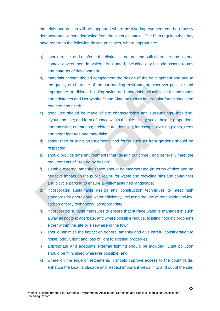materials and design will be supported where positive improvement can be robustly demonstrated without detracting from the historic context. The Plan requires that they have regard to the following design principles, where appropriate:

- a) should reflect and reinforce the distinctive natural and built character and historic context environment in which it is situated, including any historic assets, routes and patterns of development.;
- b) materials chosen should complement the design of the development and add to the quality or character of the surrounding environment, wherever possible and appropriate, traditional building styles and materials including local sandstones and gritstones and Derbyshire Stone Slate on roofs with irregular forms should be retained and used;
- c) good use should be made of site characteristics and surroundings, including: layout and use; and form of space within the site; siting; scale; height; proportions and massing; orientation; architectural detailing; landscape, existing plants, trees and other features and materials;
- d) established building arrangements and forms such as front gardens should be respected;
- e) should provide safe environments that "design out crime", and generally meet the requirements of "secure by design";
- f) suitable external amenity space should be incorporated (in terms of size and no negative impact on the public realm) for waste and recycling bins and containers and bicycle parking to ensure a well-maintained landscape;
- g) incorporates sustainable design and construction techniques to meet high standards for energy and water efficiency, including the use of renewable and low carbon energy technology, as appropriate;
- h) incorporates suitable measures to ensure that surface water is managed in such a way as not to exacerbate, and where possible reduce, existing flooding problems either within the site or elsewhere in the town;
- i) should minimise the impact on general amenity and give careful consideration to noise, odour, light and loss of light to existing properties;
- j) appropriate and adequate external lighting should be included. Light pollution should be minimised wherever possible; and
- k) where on the edge of settlements it should improve access to the countryside, enhance the local landscape and respect important views in to and out of the site.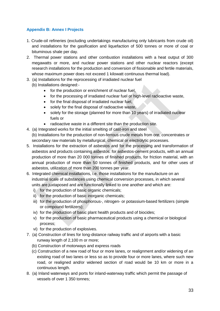## **Appendix B: Annex I Projects**

- 1. Crude-oil refineries (excluding undertakings manufacturing only lubricants from crude oil) and installations for the gasification and liquefaction of 500 tonnes or more of coal or bituminous shale per day.
- 2. Thermal power stations and other combustion installations with a heat output of 300 megawatts or more, and nuclear power stations and other nuclear reactors (except research installations for the production and conversion of fissionable and fertile materials, whose maximum power does not exceed 1 kilowatt continuous thermal load).
- 3. (a) Installations for the reprocessing of irradiated nuclear fuel
	- (b) Installations designed:-
		- for the production or enrichment of nuclear fuel,
		- for the processing of irradiated nuclear fuel or high-level radioactive waste,
		- for the final disposal of irradiated nuclear fuel,
		- solely for the final disposal of radioactive waste,
		- solely for the storage (planned for more than 10 years) of irradiated nuclear fuels or
		- radioactive waste in a different site than the production site.
- 4. (a) Integrated works for the initial smelting of cast-iron and steel

(b) Installations for the production of non-ferrous crude metals from ore, concentrates or secondary raw materials by metallurgical, chemical or electrolytic processes.

- 5. Installations for the extraction of asbestos and for the processing and transformation of asbestos and products containing asbestos: for asbestos-cement products, with an annual production of more than 20 000 tonnes of finished products, for friction material, with an annual production of more than 50 tonnes of finished products, and for other uses of asbestos, utilization of more than 200 tonnes per year.
- 6.Integrated chemical installations, i.e. those installations for the manufacture on an industrial scale of substances using chemical conversion processes, in which several units are juxtaposed and are functionally linked to one another and which are:
	- i) for the production of basic organic chemicals;
	- ii) for the production of basic inorganic chemicals;
	- iii) for the production of phosphorous-, nitrogen- or potassium-based fertilizers (simple or compound fertilizers);
	- iv) for the production of basic plant health products and of biocides;
	- v) for the production of basic pharmaceutical products using a chemical or biological process;
	- vi) for the production of explosives.
- 7. (a) Construction of lines for long-distance railway traffic and of airports with a basic runway length of 2,100 m or more;
	- (b) Construction of motorways and express roads
	- (c) Construction of a new road of four or more lanes, or realignment and/or widening of an existing road of two lanes or less so as to provide four or more lanes, where such new road, or realigned and/or widened section of road would be 10 km or more in a continuous length.
- 8. (a) Inland waterways and ports for inland-waterway traffic which permit the passage of vessels of over 1 350 tonnes;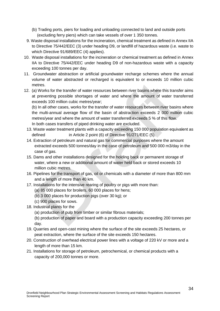- (b) Trading ports, piers for loading and unloading connected to land and outside ports (excluding ferry piers) which can take vessels of over 1 350 tonnes.
- 9. Waste disposal installations for the incineration, chemical treatment as defined in Annex IIA to Directive 75/442/EEC (3) under heading D9, or landfill of hazardous waste (i.e. waste to which Directive 91/689/EEC (4) applies).
- 10. Waste disposal installations for the incineration or chemical treatment as defined in Annex IIA to Directive 75/442/EEC under heading D9 of non-hazardous waste with a capacity exceeding 100 tonnes per day.
- 11. Groundwater abstraction or artificial groundwater recharge schemes where the annual volume of water abstracted or recharged is equivalent to or exceeds 10 million cubic metres.
- 12. (a) Works for the transfer of water resources between river basins where this transfer aims at preventing possible shortages of water and where the amount of water transferred exceeds 100 million cubic metres/year;

(b) In all other cases, works for the transfer of water resources between river basins where the multi-annual average flow of the basin of abstraction exceeds 2 000 million cubic metres/year and where the amount of water transferred exceeds 5 % of this flow. In both cases transfers of piped drinking water are excluded.

- 13. Waste water treatment plants with a capacity exceeding 150 000 population equivalent as defined in Article 2 point (6) of Directive 91/271/EEC (5).
- 14. Extraction of petroleum and natural gas for commercial purposes where the amount extracted exceeds 500 tonnes/day in the case of petroleum and 500 000 m3/day in the case of gas.
- 15. Dams and other installations designed for the holding back or permanent storage of water, where a new or additional amount of water held back or stored exceeds 10 million cubic metres.
- 16. Pipelines for the transport of gas, oil or chemicals with a diameter of more than 800 mm and a length of more than 40 km.
- 17. Installations for the intensive rearing of poultry or pigs with more than:
	- (a) 85 000 places for broilers, 60 000 places for hens;
	- (b) 3 000 places for production pigs (over 30 kg); or
	- (c) 900 places for sows.
- 18. Industrial plants for the
	- (a) production of pulp from timber or similar fibrous materials;

(b) production of paper and board with a production capacity exceeding 200 tonnes per day.

- 19. Quarries and open-cast mining where the surface of the site exceeds 25 hectares, or peat extraction, where the surface of the site exceeds 150 hectares.
- 20. Construction of overhead electrical power lines with a voltage of 220 kV or more and a length of more than 15 km.
- 21. Installations for storage of petroleum, petrochemical, or chemical products with a capacity of 200,000 tonnes or more.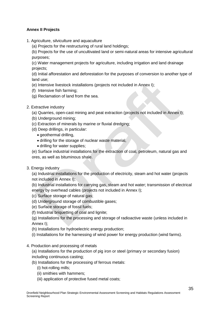## **Annex II Projects**

- 1. Agriculture, silviculture and aquaculture
	- (a) Projects for the restructuring of rural land holdings;

(b) Projects for the use of uncultivated land or semi-natural areas for intensive agricultural purposes;

(c) Water management projects for agriculture, including irrigation and land drainage projects;

(d) Initial afforestation and deforestation for the purposes of conversion to another type of land use;

- (e) Intensive livestock installations (projects not included in Annex I);
- (f) Intensive fish farming;
- (g) Reclamation of land from the sea.
- 2. Extractive industry
	- (a) Quarries, open-cast mining and peat extraction (projects not included in Annex I);
	- (b) Underground mining;
	- (c) Extraction of minerals by marine or fluvial dredging;
	- (d) Deep drillings, in particular:
		- geothermal drilling.
		- drilling for the storage of nuclear waste material,
		- drilling for water supplies:

(e) Surface industrial installations for the extraction of coal, petroleum, natural gas and ores, as well as bituminous shale.

3. Energy industry

(a) Industrial installations for the production of electricity, steam and hot water (projects not included in Annex I);

(b) Industrial installations for carrying gas, steam and hot water; transmission of electrical energy by overhead cables (projects not included in Annex I);

- (c) Surface storage of natural gas;
- (d) Underground storage of combustible gases;
- (e) Surface storage of fossil fuels;
- (f) Industrial briquetting of coal and lignite;

(g) Installations for the processing and storage of radioactive waste (unless included in Annex I);

- (h) Installations for hydroelectric energy production;
- (i) Installations for the harnessing of wind power for energy production (wind farms).
- 4. Production and processing of metals

(a) Installations for the production of pig iron or steel (primary or secondary fusion) including continuous casting;

- (b) Installations for the processing of ferrous metals:
	- (i) hot-rolling mills;
	- (ii) smithies with hammers;
	- (iii) application of protective fused metal coats;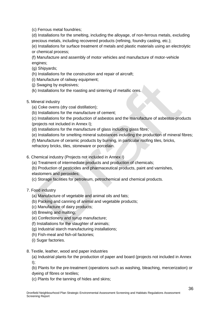(c) Ferrous metal foundries;

(d) Installations for the smelting, including the alloyage, of non-ferrous metals, excluding precious metals, including recovered products (refining, foundry casting, etc.);

(e) Installations for surface treatment of metals and plastic materials using an electrolytic or chemical process;

(f) Manufacture and assembly of motor vehicles and manufacture of motor-vehicle engines;

(g) Shipyards;

- (h) Installations for the construction and repair of aircraft;
- (i) Manufacture of railway equipment;
- (j) Swaging by explosives;
- (k) Installations for the roasting and sintering of metallic ores.
- 5. Mineral industry
	- (a) Coke ovens (dry coal distillation);
	- (b) Installations for the manufacture of cement;

(c) Installations for the production of asbestos and the manufacture of asbestos-products (projects not included in Annex I);

- (d) Installations for the manufacture of glass including glass fibre;
- (e) Installations for smelting mineral substances including the production of mineral fibres;

(f) Manufacture of ceramic products by burning, in particular roofing tiles, bricks,

refractory bricks, tiles, stoneware or porcelain.

- 6. Chemical industry (Projects not included in Annex I)
	- (a) Treatment of intermediate products and production of chemicals;

(b) Production of pesticides and pharmaceutical products, paint and varnishes, elastomers and peroxides;

- (c) Storage facilities for petroleum, petrochemical and chemical products.
- 7. Food industry
	- (a) Manufacture of vegetable and animal oils and fats;
	- (b) Packing and canning of animal and vegetable products;
	- (c) Manufacture of dairy products;
	- (d) Brewing and malting;
	- (e) Confectionery and syrup manufacture;
	- (f) Installations for the slaughter of animals;
	- (g) Industrial starch manufacturing installations;
	- (h) Fish-meal and fish-oil factories;
	- (i) Sugar factories.
- 8. Textile, leather, wood and paper industries
	- (a) Industrial plants for the production of paper and board (projects not included in Annex  $I$ );

(b) Plants for the pre-treatment (operations such as washing, bleaching, mercerization) or dyeing of fibres or textiles;

(c) Plants for the tanning of hides and skins;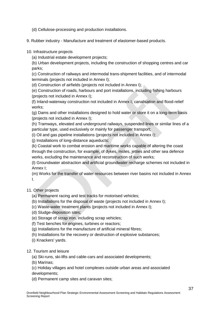- (d) Cellulose-processing and production installations.
- 9. Rubber industry Manufacture and treatment of elastomer-based products.
- 10. Infrastructure projects
	- (a) Industrial estate development projects;

(b) Urban development projects, including the construction of shopping centres and car parks;

(c) Construction of railways and intermodal trans-shipment facilities, and of intermodal terminals (projects not included in Annex I);

(d) Construction of airfields (projects not included in Annex I);

(e) Construction of roads, harbours and port installations, including fishing harbours (projects not included in Annex I);

(f) Inland-waterway construction not included in Annex I, canalisation and flood-relief works;

(g) Dams and other installations designed to hold water or store it on a long-term basis (projects not included in Annex I);

(h) Tramways, elevated and underground railways, suspended lines or similar lines of a particular type, used exclusively or mainly for passenger transport;

(i) Oil and gas pipeline installations (projects not included in Annex I);

(j) Installations of long-distance aqueducts;

(k) Coastal work to combat erosion and maritime works capable of altering the coast through the construction, for example, of dykes, moles, jetties and other sea defence works, excluding the maintenance and reconstruction of such works;

(l) Groundwater abstraction and artificial groundwater recharge schemes not included in Annex I;

(m) Works for the transfer of water resources between river basins not included in Annex I.

## 11. Other projects

- (a) Permanent racing and test tracks for motorised vehicles;
- (b) Installations for the disposal of waste (projects not included in Annex I);
- (c) Waste-water treatment plants (projects not included in Annex I);
- (d) Sludge-deposition sites;
- (e) Storage of scrap iron, including scrap vehicles;
- (f) Test benches for engines, turbines or reactors;
- (g) Installations for the manufacture of artificial mineral fibres;
- (h) Installations for the recovery or destruction of explosive substances;
- (i) Knackers' yards.

12. Tourism and leisure

- (a) Ski-runs, ski-lifts and cable-cars and associated developments;
- (b) Marinas;
- (c) Holiday villages and hotel complexes outside urban areas and associated developments;
- (d) Permanent camp sites and caravan sites;